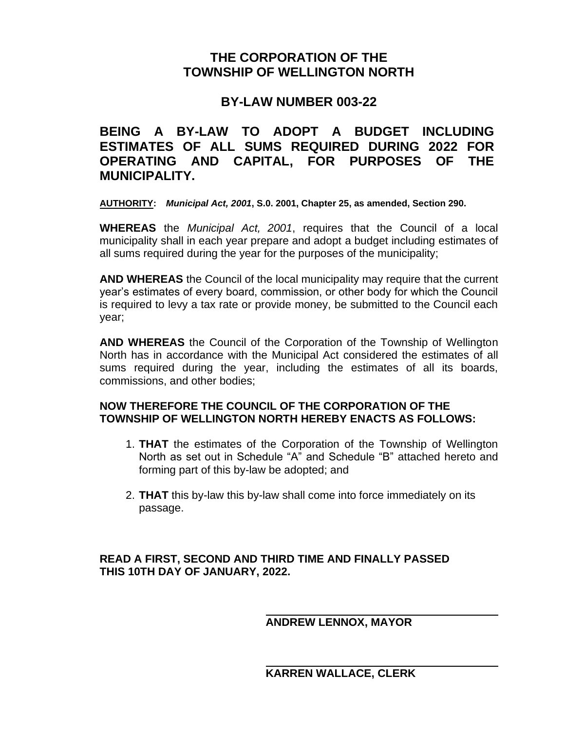# **THE CORPORATION OF THE TOWNSHIP OF WELLINGTON NORTH**

### **BY-LAW NUMBER 003-22**

# **BEING A BY-LAW TO ADOPT A BUDGET INCLUDING ESTIMATES OF ALL SUMS REQUIRED DURING 2022 FOR OPERATING AND CAPITAL, FOR PURPOSES OF THE MUNICIPALITY.**

**AUTHORITY:** *Municipal Act, 2001***, S.0. 2001, Chapter 25, as amended, Section 290.**

**WHEREAS** the *Municipal Act, 2001*, requires that the Council of a local municipality shall in each year prepare and adopt a budget including estimates of all sums required during the year for the purposes of the municipality;

**AND WHEREAS** the Council of the local municipality may require that the current year's estimates of every board, commission, or other body for which the Council is required to levy a tax rate or provide money, be submitted to the Council each year;

**AND WHEREAS** the Council of the Corporation of the Township of Wellington North has in accordance with the Municipal Act considered the estimates of all sums required during the year, including the estimates of all its boards, commissions, and other bodies;

### **NOW THEREFORE THE COUNCIL OF THE CORPORATION OF THE TOWNSHIP OF WELLINGTON NORTH HEREBY ENACTS AS FOLLOWS:**

- 1. **THAT** the estimates of the Corporation of the Township of Wellington North as set out in Schedule "A" and Schedule "B" attached hereto and forming part of this by-law be adopted; and
- 2. **THAT** this by-law this by-law shall come into force immediately on its passage.

### **READ A FIRST, SECOND AND THIRD TIME AND FINALLY PASSED THIS 10TH DAY OF JANUARY, 2022.**

### **ANDREW LENNOX, MAYOR**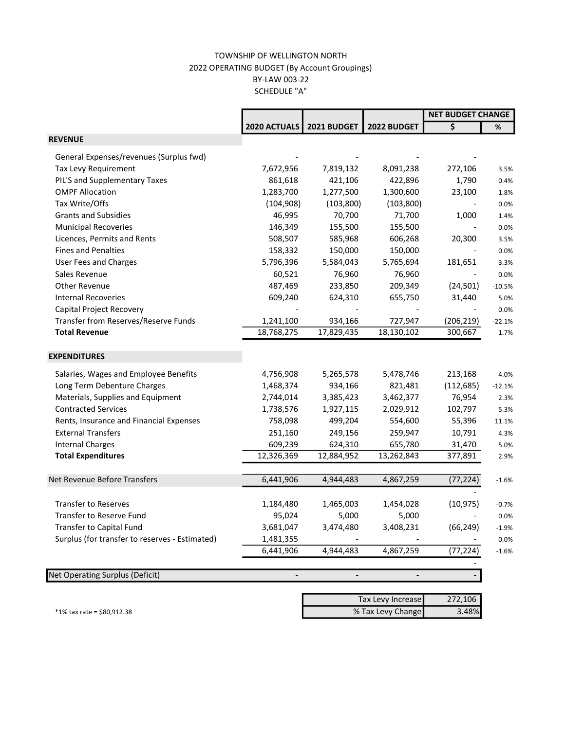#### TOWNSHIP OF WELLINGTON NORTH 2022 OPERATING BUDGET (By Account Groupings) BY-LAW 003-22 SCHEDULE "A"

|                                                |              |             |             | <b>NET BUDGET CHANGE</b>        |          |
|------------------------------------------------|--------------|-------------|-------------|---------------------------------|----------|
|                                                | 2020 ACTUALS | 2021 BUDGET | 2022 BUDGET | $\overline{\boldsymbol{\zeta}}$ | %        |
| <b>REVENUE</b>                                 |              |             |             |                                 |          |
| General Expenses/revenues (Surplus fwd)        |              |             |             |                                 |          |
| Tax Levy Requirement                           | 7,672,956    | 7,819,132   | 8,091,238   | 272,106                         | 3.5%     |
| PIL'S and Supplementary Taxes                  | 861,618      | 421,106     | 422,896     | 1,790                           | 0.4%     |
| <b>OMPF Allocation</b>                         | 1,283,700    | 1,277,500   | 1,300,600   | 23,100                          | 1.8%     |
| Tax Write/Offs                                 | (104, 908)   | (103, 800)  | (103, 800)  |                                 | 0.0%     |
| <b>Grants and Subsidies</b>                    | 46,995       | 70,700      | 71,700      | 1,000                           | 1.4%     |
| <b>Municipal Recoveries</b>                    | 146,349      | 155,500     | 155,500     |                                 | 0.0%     |
| Licences, Permits and Rents                    | 508,507      | 585,968     | 606,268     | 20,300                          | 3.5%     |
| <b>Fines and Penalties</b>                     | 158,332      | 150,000     | 150,000     |                                 | 0.0%     |
| <b>User Fees and Charges</b>                   | 5,796,396    | 5,584,043   | 5,765,694   | 181,651                         | 3.3%     |
| Sales Revenue                                  | 60,521       | 76,960      | 76,960      |                                 | 0.0%     |
| <b>Other Revenue</b>                           | 487,469      | 233,850     | 209,349     | (24, 501)                       | $-10.5%$ |
| <b>Internal Recoveries</b>                     | 609,240      | 624,310     | 655,750     | 31,440                          | 5.0%     |
| Capital Project Recovery                       |              |             |             |                                 | 0.0%     |
| Transfer from Reserves/Reserve Funds           | 1,241,100    | 934,166     | 727,947     | (206, 219)                      | $-22.1%$ |
| <b>Total Revenue</b>                           | 18,768,275   | 17,829,435  | 18,130,102  | 300,667                         | 1.7%     |
| <b>EXPENDITURES</b>                            |              |             |             |                                 |          |
| Salaries, Wages and Employee Benefits          | 4,756,908    | 5,265,578   | 5,478,746   | 213,168                         | 4.0%     |
| Long Term Debenture Charges                    | 1,468,374    | 934,166     | 821,481     | (112, 685)                      | $-12.1%$ |
| Materials, Supplies and Equipment              | 2,744,014    | 3,385,423   | 3,462,377   | 76,954                          | 2.3%     |
| <b>Contracted Services</b>                     | 1,738,576    | 1,927,115   | 2,029,912   | 102,797                         | 5.3%     |
| Rents, Insurance and Financial Expenses        | 758,098      | 499,204     | 554,600     | 55,396                          | 11.1%    |
| <b>External Transfers</b>                      | 251,160      | 249,156     | 259,947     | 10,791                          | 4.3%     |
| <b>Internal Charges</b>                        | 609,239      | 624,310     | 655,780     | 31,470                          | 5.0%     |
| <b>Total Expenditures</b>                      | 12,326,369   | 12,884,952  | 13,262,843  | 377,891                         | 2.9%     |
| Net Revenue Before Transfers                   | 6,441,906    | 4,944,483   | 4,867,259   | (77, 224)                       | $-1.6%$  |
|                                                |              |             |             |                                 |          |
| <b>Transfer to Reserves</b>                    | 1,184,480    | 1,465,003   | 1,454,028   | (10, 975)                       | $-0.7%$  |
| <b>Transfer to Reserve Fund</b>                | 95,024       | 5,000       | 5,000       |                                 | 0.0%     |
| Transfer to Capital Fund                       | 3,681,047    | 3,474,480   | 3,408,231   | (66, 249)                       | $-1.9%$  |
| Surplus (for transfer to reserves - Estimated) | 1,481,355    |             |             |                                 | 0.0%     |
|                                                | 6,441,906    | 4,944,483   | 4,867,259   | (77, 224)                       | $-1.6%$  |
| <b>Net Operating Surplus (Deficit)</b>         |              |             |             |                                 |          |

 272,106 \*1% tax rate = \$80,912.38 3.48% Tax Levy Increase % Tax Levy Change